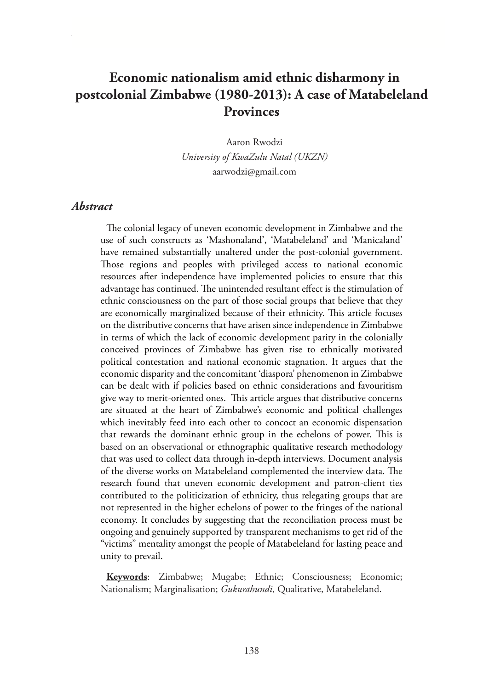# **Economic nationalism amid ethnic disharmony in postcolonial Zimbabwe (1980-2013): A case of Matabeleland Provinces**

Aaron Rwodzi *University of KwaZulu Natal (UKZN)* aarwodzi@gmail.com

#### *Abstract*

The colonial legacy of uneven economic development in Zimbabwe and the use of such constructs as 'Mashonaland', 'Matabeleland' and 'Manicaland' have remained substantially unaltered under the post-colonial government. Those regions and peoples with privileged access to national economic resources after independence have implemented policies to ensure that this advantage has continued. The unintended resultant effect is the stimulation of ethnic consciousness on the part of those social groups that believe that they are economically marginalized because of their ethnicity. This article focuses on the distributive concerns that have arisen since independence in Zimbabwe in terms of which the lack of economic development parity in the colonially conceived provinces of Zimbabwe has given rise to ethnically motivated political contestation and national economic stagnation. It argues that the economic disparity and the concomitant 'diaspora' phenomenon in Zimbabwe can be dealt with if policies based on ethnic considerations and favouritism give way to merit-oriented ones. This article argues that distributive concerns are situated at the heart of Zimbabwe's economic and political challenges which inevitably feed into each other to concoct an economic dispensation that rewards the dominant ethnic group in the echelons of power. This is based on an observational or ethnographic qualitative research methodology that was used to collect data through in-depth interviews. Document analysis of the diverse works on Matabeleland complemented the interview data. The research found that uneven economic development and patron-client ties contributed to the politicization of ethnicity, thus relegating groups that are not represented in the higher echelons of power to the fringes of the national economy. It concludes by suggesting that the reconciliation process must be ongoing and genuinely supported by transparent mechanisms to get rid of the "victims" mentality amongst the people of Matabeleland for lasting peace and unity to prevail.

**Keywords**: Zimbabwe; Mugabe; Ethnic; Consciousness; Economic; Nationalism; Marginalisation; *Gukurahundi*, Qualitative, Matabeleland.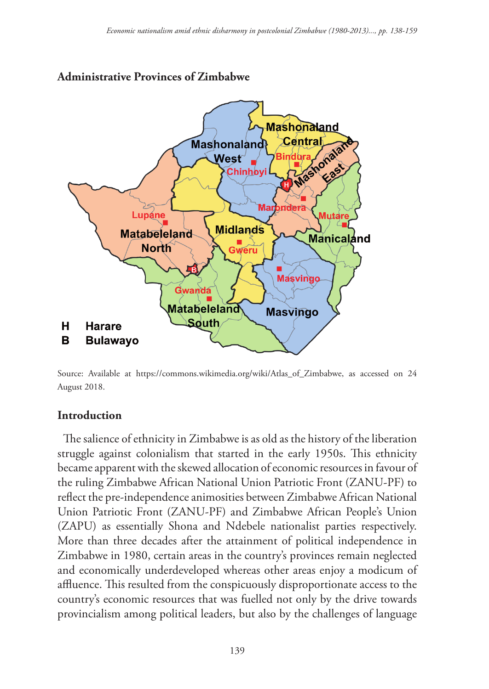

# **Administrative Provinces of Zimbabwe**

Source: Available at https://commons.wikimedia.org/wiki/Atlas\_of\_Zimbabwe, as accessed on 24 August 2018.

## **Introduction**

The salience of ethnicity in Zimbabwe is as old as the history of the liberation struggle against colonialism that started in the early 1950s. This ethnicity became apparent with the skewed allocation of economic resources in favour of the ruling Zimbabwe African National Union Patriotic Front (ZANU-PF) to reflect the pre-independence animosities between Zimbabwe African National Union Patriotic Front (ZANU-PF) and Zimbabwe African People's Union (ZAPU) as essentially Shona and Ndebele nationalist parties respectively. More than three decades after the attainment of political independence in Zimbabwe in 1980, certain areas in the country's provinces remain neglected and economically underdeveloped whereas other areas enjoy a modicum of affluence. This resulted from the conspicuously disproportionate access to the country's economic resources that was fuelled not only by the drive towards provincialism among political leaders, but also by the challenges of language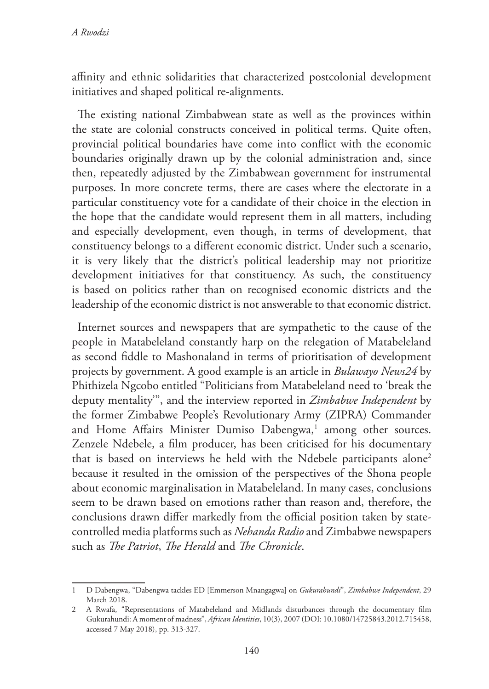affinity and ethnic solidarities that characterized postcolonial development initiatives and shaped political re-alignments.

The existing national Zimbabwean state as well as the provinces within the state are colonial constructs conceived in political terms. Quite often, provincial political boundaries have come into conflict with the economic boundaries originally drawn up by the colonial administration and, since then, repeatedly adjusted by the Zimbabwean government for instrumental purposes. In more concrete terms, there are cases where the electorate in a particular constituency vote for a candidate of their choice in the election in the hope that the candidate would represent them in all matters, including and especially development, even though, in terms of development, that constituency belongs to a different economic district. Under such a scenario, it is very likely that the district's political leadership may not prioritize development initiatives for that constituency. As such, the constituency is based on politics rather than on recognised economic districts and the leadership of the economic district is not answerable to that economic district.

Internet sources and newspapers that are sympathetic to the cause of the people in Matabeleland constantly harp on the relegation of Matabeleland as second fiddle to Mashonaland in terms of prioritisation of development projects by government. A good example is an article in *Bulawayo News24* by Phithizela Ngcobo entitled "Politicians from Matabeleland need to 'break the deputy mentality'", and the interview reported in *Zimbabwe Independent* by the former Zimbabwe People's Revolutionary Army (ZIPRA) Commander and Home Affairs Minister Dumiso Dabengwa,<sup>1</sup> among other sources. Zenzele Ndebele, a film producer, has been criticised for his documentary that is based on interviews he held with the Ndebele participants alone<sup>2</sup> because it resulted in the omission of the perspectives of the Shona people about economic marginalisation in Matabeleland. In many cases, conclusions seem to be drawn based on emotions rather than reason and, therefore, the conclusions drawn differ markedly from the official position taken by statecontrolled media platforms such as *Nehanda Radio* and Zimbabwe newspapers such as *The Patriot*, *The Herald* and *The Chronicle*.

<sup>1</sup> D Dabengwa, "Dabengwa tackles ED [Emmerson Mnangagwa] on *Gukurahundi*", *Zimbabwe Independent*, 29 March 2018.

<sup>2</sup> A Rwafa, "Representations of Matabeleland and Midlands disturbances through the documentary film Gukurahundi: A moment of madness", *African Identities*, 10(3), 2007 (DOI: 10.1080/14725843.2012.715458, accessed 7 May 2018), pp. 313-327.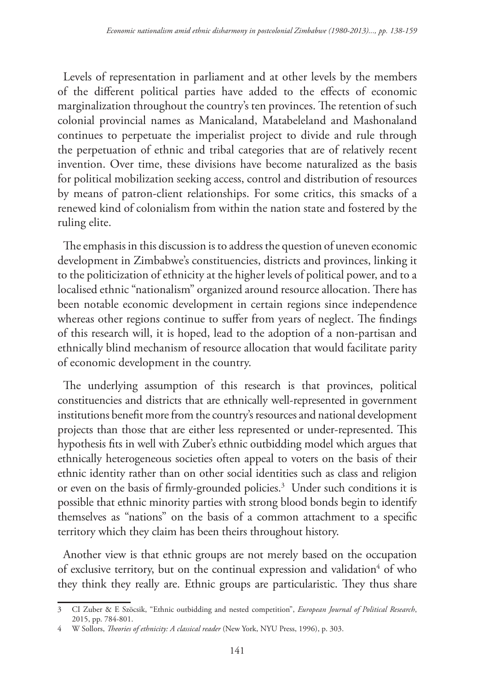Levels of representation in parliament and at other levels by the members of the different political parties have added to the effects of economic marginalization throughout the country's ten provinces. The retention of such colonial provincial names as Manicaland, Matabeleland and Mashonaland continues to perpetuate the imperialist project to divide and rule through the perpetuation of ethnic and tribal categories that are of relatively recent invention. Over time, these divisions have become naturalized as the basis for political mobilization seeking access, control and distribution of resources by means of patron-client relationships. For some critics, this smacks of a renewed kind of colonialism from within the nation state and fostered by the ruling elite.

The emphasis in this discussion is to address the question of uneven economic development in Zimbabwe's constituencies, districts and provinces, linking it to the politicization of ethnicity at the higher levels of political power, and to a localised ethnic "nationalism" organized around resource allocation. There has been notable economic development in certain regions since independence whereas other regions continue to suffer from years of neglect. The findings of this research will, it is hoped, lead to the adoption of a non-partisan and ethnically blind mechanism of resource allocation that would facilitate parity of economic development in the country.

The underlying assumption of this research is that provinces, political constituencies and districts that are ethnically well-represented in government institutions benefit more from the country's resources and national development projects than those that are either less represented or under-represented. This hypothesis fits in well with Zuber's ethnic outbidding model which argues that ethnically heterogeneous societies often appeal to voters on the basis of their ethnic identity rather than on other social identities such as class and religion or even on the basis of firmly-grounded policies.<sup>3</sup> Under such conditions it is possible that ethnic minority parties with strong blood bonds begin to identify themselves as "nations" on the basis of a common attachment to a specific territory which they claim has been theirs throughout history.

Another view is that ethnic groups are not merely based on the occupation of exclusive territory, but on the continual expression and validation<sup>4</sup> of who they think they really are. Ethnic groups are particularistic. They thus share

<sup>3</sup> CI Zuber & E Szöcsik, "Ethnic outbidding and nested competition", *European Journal of Political Research*, 2015, pp. 784-801.

<sup>4</sup> W Sollors, *Theories of ethnicity: A classical reader* (New York, NYU Press, 1996), p. 303.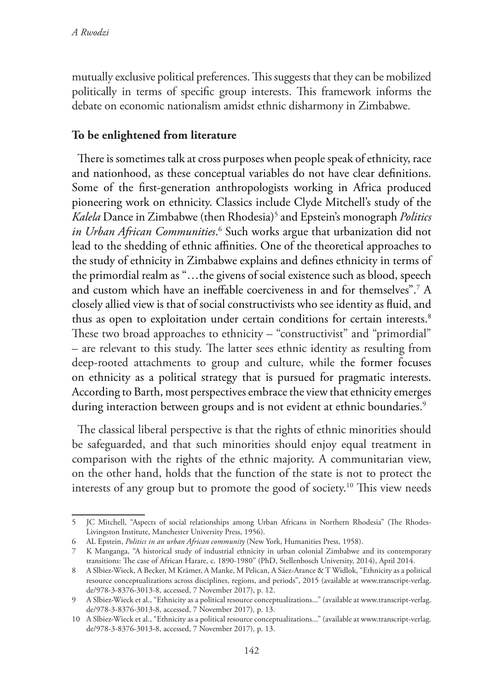mutually exclusive political preferences. This suggests that they can be mobilized politically in terms of specific group interests. This framework informs the debate on economic nationalism amidst ethnic disharmony in Zimbabwe.

## **To be enlightened from literature**

There is sometimes talk at cross purposes when people speak of ethnicity, race and nationhood, as these conceptual variables do not have clear definitions. Some of the first-generation anthropologists working in Africa produced pioneering work on ethnicity. Classics include Clyde Mitchell's study of the *Kalela* Dance in Zimbabwe (then Rhodesia)5 and Epstein's monograph *Politics in Urban African Communities*. 6 Such works argue that urbanization did not lead to the shedding of ethnic affinities. One of the theoretical approaches to the study of ethnicity in Zimbabwe explains and defines ethnicity in terms of the primordial realm as "…the givens of social existence such as blood, speech and custom which have an ineffable coerciveness in and for themselves".7 A closely allied view is that of social constructivists who see identity as fluid, and thus as open to exploitation under certain conditions for certain interests.<sup>8</sup> These two broad approaches to ethnicity – "constructivist" and "primordial" – are relevant to this study. The latter sees ethnic identity as resulting from deep-rooted attachments to group and culture, while the former focuses on ethnicity as a political strategy that is pursued for pragmatic interests. According to Barth, most perspectives embrace the view that ethnicity emerges during interaction between groups and is not evident at ethnic boundaries. $^9$ 

The classical liberal perspective is that the rights of ethnic minorities should be safeguarded, and that such minorities should enjoy equal treatment in comparison with the rights of the ethnic majority. A communitarian view, on the other hand, holds that the function of the state is not to protect the interests of any group but to promote the good of society.<sup>10</sup> This view needs

<sup>5</sup> JC Mitchell, "Aspects of social relationships among Urban Africans in Northern Rhodesia" (The Rhodes-Livingston Institute, Manchester University Press, 1956).

<sup>6</sup> AL Epstein, *Politics in an urban African community* (New York, Humanities Press, 1958).

<sup>7</sup> K Manganga, "A historical study of industrial ethnicity in urban colonial Zimbabwe and its contemporary transitions: The case of African Harare, c. 1890-1980" (PhD, Stellenbosch University, 2014), April 2014.

<sup>8</sup> A Slbiez-Wieck, A Becker, M Krämer, A Manke, M Pelican, A Sáez-Arance & T Widlok, "Ethnicity as a political resource conceptualizations across disciplines, regions, and periods", 2015 (available at www.transcript-verlag. de/978-3-8376-3013-8, accessed, 7 November 2017), p. 12.

<sup>9</sup> A Slbiez-Wieck et al., "Ethnicity as a political resource conceptualizations..." (available at www.transcript-verlag. de/978-3-8376-3013-8, accessed, 7 November 2017)*,* p. 13.

<sup>10</sup> A Slbiez-Wieck et al., "Ethnicity as a political resource conceptualizations..." (available at www.transcript-verlag. de/978-3-8376-3013-8, accessed, 7 November 2017)*,* p. 13.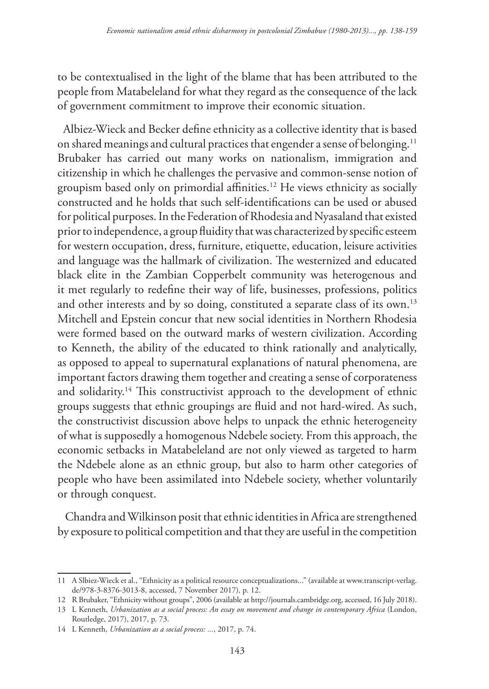to be contextualised in the light of the blame that has been attributed to the people from Matabeleland for what they regard as the consequence of the lack of government commitment to improve their economic situation.

Albiez-Wieck and Becker define ethnicity as a collective identity that is based on shared meanings and cultural practices that engender a sense of belonging.<sup>11</sup> Brubaker has carried out many works on nationalism, immigration and citizenship in which he challenges the pervasive and common-sense notion of groupism based only on primordial affinities.12 He views ethnicity as socially constructed and he holds that such self-identifications can be used or abused for political purposes. In the Federation of Rhodesia and Nyasaland that existed prior to independence, a group fluidity that was characterized by specific esteem for western occupation, dress, furniture, etiquette, education, leisure activities and language was the hallmark of civilization. The westernized and educated black elite in the Zambian Copperbelt community was heterogenous and it met regularly to redefine their way of life, businesses, professions, politics and other interests and by so doing, constituted a separate class of its own.<sup>13</sup> Mitchell and Epstein concur that new social identities in Northern Rhodesia were formed based on the outward marks of western civilization. According to Kenneth, the ability of the educated to think rationally and analytically, as opposed to appeal to supernatural explanations of natural phenomena, are important factors drawing them together and creating a sense of corporateness and solidarity.<sup>14</sup> This constructivist approach to the development of ethnic groups suggests that ethnic groupings are fluid and not hard-wired. As such, the constructivist discussion above helps to unpack the ethnic heterogeneity of what is supposedly a homogenous Ndebele society. From this approach, the economic setbacks in Matabeleland are not only viewed as targeted to harm the Ndebele alone as an ethnic group, but also to harm other categories of people who have been assimilated into Ndebele society, whether voluntarily or through conquest.

 Chandra and Wilkinson posit that ethnic identities in Africa are strengthened by exposure to political competition and that they are useful in the competition

<sup>11</sup> A Slbiez-Wieck et al., "Ethnicity as a political resource conceptualizations..." (available at www.transcript-verlag. de/978-3-8376-3013-8, accessed, 7 November 2017)*,* p. 12.

<sup>12</sup> R Brubaker, "Ethnicity without groups", 2006 (available at http://journals.cambridge.org, accessed, 16 July 2018).

<sup>13</sup> L Kenneth, *Urbanization as a social process: An essay on movement and change in contemporary Africa* (London, Routledge, 2017), 2017, p. 73.

<sup>14</sup> L Kenneth, *Urbanization as a social process: ...*, 2017, p. 74.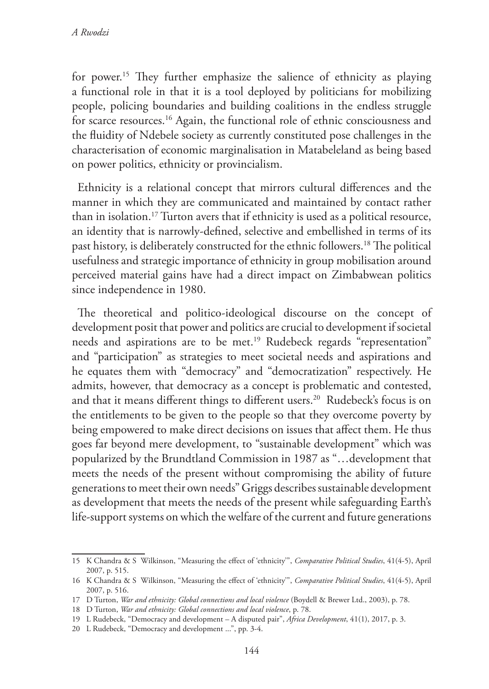for power.15 They further emphasize the salience of ethnicity as playing a functional role in that it is a tool deployed by politicians for mobilizing people, policing boundaries and building coalitions in the endless struggle for scarce resources.16 Again, the functional role of ethnic consciousness and the fluidity of Ndebele society as currently constituted pose challenges in the characterisation of economic marginalisation in Matabeleland as being based on power politics, ethnicity or provincialism.

Ethnicity is a relational concept that mirrors cultural differences and the manner in which they are communicated and maintained by contact rather than in isolation.17 Turton avers that if ethnicity is used as a political resource, an identity that is narrowly-defined, selective and embellished in terms of its past history, is deliberately constructed for the ethnic followers.18 The political usefulness and strategic importance of ethnicity in group mobilisation around perceived material gains have had a direct impact on Zimbabwean politics since independence in 1980.

The theoretical and politico-ideological discourse on the concept of development posit that power and politics are crucial to development if societal needs and aspirations are to be met.<sup>19</sup> Rudebeck regards "representation" and "participation" as strategies to meet societal needs and aspirations and he equates them with "democracy" and "democratization" respectively. He admits, however, that democracy as a concept is problematic and contested, and that it means different things to different users.<sup>20</sup> Rudebeck's focus is on the entitlements to be given to the people so that they overcome poverty by being empowered to make direct decisions on issues that affect them. He thus goes far beyond mere development, to "sustainable development" which was popularized by the Brundtland Commission in 1987 as "…development that meets the needs of the present without compromising the ability of future generations to meet their own needs" Griggs describes sustainable development as development that meets the needs of the present while safeguarding Earth's life-support systems on which the welfare of the current and future generations

<sup>15</sup> K Chandra & S Wilkinson, "Measuring the effect of 'ethnicity'", *Comparative Political Studies*, 41(4-5), April 2007, p. 515.

<sup>16</sup> K Chandra & S Wilkinson, "Measuring the effect of 'ethnicity'", *Comparative Political Studies*, 41(4-5), April 2007, p. 516.

<sup>17</sup> D Turton, *War and ethnicity: Global connections and local violence* (Boydell & Brewer Ltd., 2003), p. 78.

<sup>18</sup> D Turton, *War and ethnicity: Global connections and local violence*, p. 78.

<sup>19</sup> L Rudebeck, "Democracy and development – A disputed pair", *Africa Development*, 41(1), 2017, p. 3.

<sup>20</sup> L Rudebeck, "Democracy and development ...", pp. 3-4.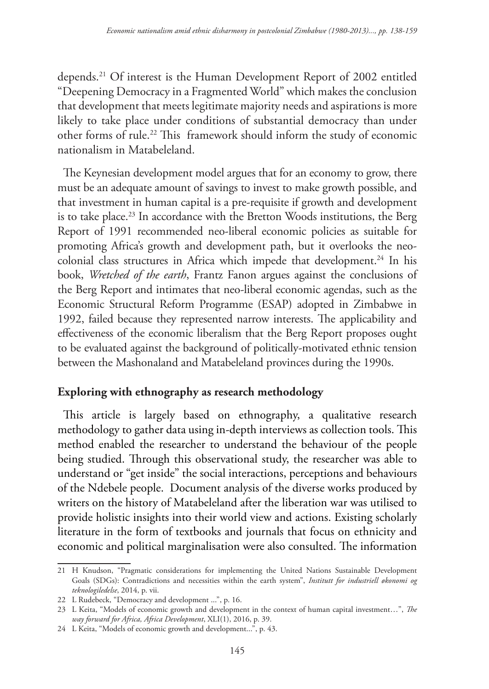depends.21 Of interest is the Human Development Report of 2002 entitled "Deepening Democracy in a Fragmented World" which makes the conclusion that development that meets legitimate majority needs and aspirations is more likely to take place under conditions of substantial democracy than under other forms of rule.22 This framework should inform the study of economic nationalism in Matabeleland.

The Keynesian development model argues that for an economy to grow, there must be an adequate amount of savings to invest to make growth possible, and that investment in human capital is a pre-requisite if growth and development is to take place.<sup>23</sup> In accordance with the Bretton Woods institutions, the Berg Report of 1991 recommended neo-liberal economic policies as suitable for promoting Africa's growth and development path, but it overlooks the neocolonial class structures in Africa which impede that development.<sup>24</sup> In his book, *Wretched of the earth*, Frantz Fanon argues against the conclusions of the Berg Report and intimates that neo-liberal economic agendas, such as the Economic Structural Reform Programme (ESAP) adopted in Zimbabwe in 1992, failed because they represented narrow interests. The applicability and effectiveness of the economic liberalism that the Berg Report proposes ought to be evaluated against the background of politically-motivated ethnic tension between the Mashonaland and Matabeleland provinces during the 1990s.

## **Exploring with ethnography as research methodology**

This article is largely based on ethnography, a qualitative research methodology to gather data using in-depth interviews as collection tools. This method enabled the researcher to understand the behaviour of the people being studied. Through this observational study, the researcher was able to understand or "get inside" the social interactions, perceptions and behaviours of the Ndebele people. Document analysis of the diverse works produced by writers on the history of Matabeleland after the liberation war was utilised to provide holistic insights into their world view and actions. Existing scholarly literature in the form of textbooks and journals that focus on ethnicity and economic and political marginalisation were also consulted. The information

<sup>21</sup> H Knudson, "Pragmatic considerations for implementing the United Nations Sustainable Development Goals (SDGs): Contradictions and necessities within the earth system", *Institutt for industriell økonomi og teknologiledelse*, 2014, p. vii.

<sup>22</sup> L Rudebeck, "Democracy and development ...", p. 16.

<sup>23</sup> L Keita, "Models of economic growth and development in the context of human capital investment…", *The way forward for Africa, Africa Development*, XLI(1), 2016, p. 39.

<sup>24</sup> L Keita, "Models of economic growth and development...", p. 43.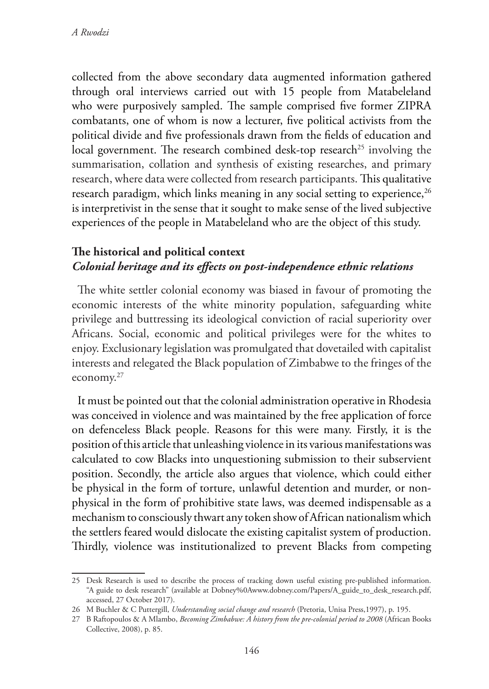collected from the above secondary data augmented information gathered through oral interviews carried out with 15 people from Matabeleland who were purposively sampled. The sample comprised five former ZIPRA combatants, one of whom is now a lecturer, five political activists from the political divide and five professionals drawn from the fields of education and local government. The research combined desk-top research<sup>25</sup> involving the summarisation, collation and synthesis of existing researches, and primary research, where data were collected from research participants. This qualitative research paradigm, which links meaning in any social setting to experience,  $26$ is interpretivist in the sense that it sought to make sense of the lived subjective experiences of the people in Matabeleland who are the object of this study.

## **The historical and political context** *Colonial heritage and its effects on post-independence ethnic relations*

The white settler colonial economy was biased in favour of promoting the economic interests of the white minority population, safeguarding white privilege and buttressing its ideological conviction of racial superiority over Africans. Social, economic and political privileges were for the whites to enjoy. Exclusionary legislation was promulgated that dovetailed with capitalist interests and relegated the Black population of Zimbabwe to the fringes of the economy.27

It must be pointed out that the colonial administration operative in Rhodesia was conceived in violence and was maintained by the free application of force on defenceless Black people. Reasons for this were many. Firstly, it is the position of this article that unleashing violence in its various manifestations was calculated to cow Blacks into unquestioning submission to their subservient position. Secondly, the article also argues that violence, which could either be physical in the form of torture, unlawful detention and murder, or nonphysical in the form of prohibitive state laws, was deemed indispensable as a mechanism to consciously thwart any token show of African nationalism which the settlers feared would dislocate the existing capitalist system of production. Thirdly, violence was institutionalized to prevent Blacks from competing

<sup>25</sup> Desk Research is used to describe the process of tracking down useful existing pre-published information. "A guide to desk research" (available at Dobney%0Awww.dobney.com/Papers/A\_guide\_to\_desk\_research.pdf, accessed, 27 October 2017).

<sup>26</sup> M Buchler & C Puttergill, *Understanding social change and research* (Pretoria, Unisa Press,1997), p. 195.

<sup>27</sup> B Raftopoulos & A Mlambo, *Becoming Zimbabwe: A history from the pre-colonial period to 2008* (African Books Collective, 2008), p. 85.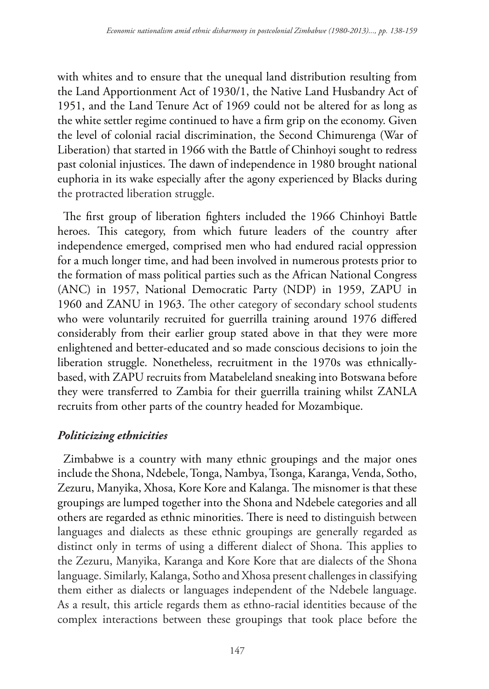with whites and to ensure that the unequal land distribution resulting from the Land Apportionment Act of 1930/1, the Native Land Husbandry Act of 1951, and the Land Tenure Act of 1969 could not be altered for as long as the white settler regime continued to have a firm grip on the economy. Given the level of colonial racial discrimination, the Second Chimurenga (War of Liberation) that started in 1966 with the Battle of Chinhoyi sought to redress past colonial injustices. The dawn of independence in 1980 brought national euphoria in its wake especially after the agony experienced by Blacks during the protracted liberation struggle.

The first group of liberation fighters included the 1966 Chinhoyi Battle heroes. This category, from which future leaders of the country after independence emerged, comprised men who had endured racial oppression for a much longer time, and had been involved in numerous protests prior to the formation of mass political parties such as the African National Congress (ANC) in 1957, National Democratic Party (NDP) in 1959, ZAPU in 1960 and ZANU in 1963. The other category of secondary school students who were voluntarily recruited for guerrilla training around 1976 differed considerably from their earlier group stated above in that they were more enlightened and better-educated and so made conscious decisions to join the liberation struggle. Nonetheless, recruitment in the 1970s was ethnicallybased, with ZAPU recruits from Matabeleland sneaking into Botswana before they were transferred to Zambia for their guerrilla training whilst ZANLA recruits from other parts of the country headed for Mozambique.

## *Politicizing ethnicities*

Zimbabwe is a country with many ethnic groupings and the major ones include the Shona, Ndebele, Tonga, Nambya, Tsonga, Karanga, Venda, Sotho, Zezuru, Manyika, Xhosa, Kore Kore and Kalanga. The misnomer is that these groupings are lumped together into the Shona and Ndebele categories and all others are regarded as ethnic minorities. There is need to distinguish between languages and dialects as these ethnic groupings are generally regarded as distinct only in terms of using a different dialect of Shona. This applies to the Zezuru, Manyika, Karanga and Kore Kore that are dialects of the Shona language. Similarly, Kalanga, Sotho and Xhosa present challenges in classifying them either as dialects or languages independent of the Ndebele language. As a result, this article regards them as ethno-racial identities because of the complex interactions between these groupings that took place before the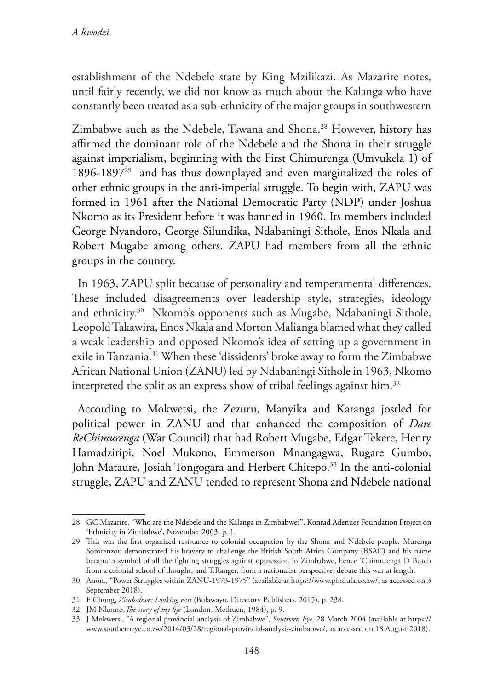establishment of the Ndebele state by King Mzilikazi. As Mazarire notes, until fairly recently, we did not know as much about the Kalanga who have constantly been treated as a sub-ethnicity of the major groups in southwestern

Zimbabwe such as the Ndebele, Tswana and Shona.<sup>28</sup> However, history has affirmed the dominant role of the Ndebele and the Shona in their struggle against imperialism, beginning with the First Chimurenga (Umvukela 1) of 1896-189729 and has thus downplayed and even marginalized the roles of other ethnic groups in the anti-imperial struggle. To begin with, ZAPU was formed in 1961 after the National Democratic Party (NDP) under Joshua Nkomo as its President before it was banned in 1960. Its members included George Nyandoro, George Silundika, Ndabaningi Sithole, Enos Nkala and Robert Mugabe among others. ZAPU had members from all the ethnic groups in the country.

In 1963, ZAPU split because of personality and temperamental differences. These included disagreements over leadership style, strategies, ideology and ethnicity.30 Nkomo's opponents such as Mugabe, Ndabaningi Sithole, Leopold Takawira, Enos Nkala and Morton Malianga blamed what they called a weak leadership and opposed Nkomo's idea of setting up a government in exile in Tanzania.31 When these 'dissidents' broke away to form the Zimbabwe African National Union (ZANU) led by Ndabaningi Sithole in 1963, Nkomo interpreted the split as an express show of tribal feelings against him.<sup>32</sup>

According to Mokwetsi, the Zezuru, Manyika and Karanga jostled for political power in ZANU and that enhanced the composition of *Dare ReChimurenga* (War Council) that had Robert Mugabe, Edgar Tekere, Henry Hamadziripi, Noel Mukono, Emmerson Mnangagwa, Rugare Gumbo, John Mataure, Josiah Tongogara and Herbert Chitepo.<sup>33</sup> In the anti-colonial struggle, ZAPU and ZANU tended to represent Shona and Ndebele national

<sup>28</sup> GC Mazarire, "Who are the Ndebele and the Kalanga in Zimbabwe?", Konrad Adenuer Foundation Project on 'Ethnicity in Zimbabwe', November 2003, p. 1.

<sup>29</sup> This was the first organized resistance to colonial occupation by the Shona and Ndebele people. Murenga Sororenzou demonstrated his bravery to challenge the British South Africa Company (BSAC) and his name became a symbol of all the fighting struggles against oppression in Zimbabwe, hence 'Chimurenga D Beach from a colonial school of thought, and T.Ranger, from a nationalist perspective, debate this war at length.

<sup>30</sup> Anon., "Power Struggles within ZANU-1973-1975" (available at https://www.pindula.co.zw/, as accessed on 3 September 2018).

<sup>31</sup> F Chung, *Zimbabwe: Looking east* (Bulawayo, Directory Publishers, 2015), p. 238.

<sup>32</sup> JM Nkomo,*The story of my life* (London, Methuen, 1984), p. 9.

<sup>33</sup> J Mokwetsi, "A regional provincial analysis of Zimbabwe", *Southern Eye*, 28 March 2004 (available at https:// www.southerneye.co.zw/2014/03/28/regional-provincial-analysis-zimbabwe/, as accessed on 18 August 2018).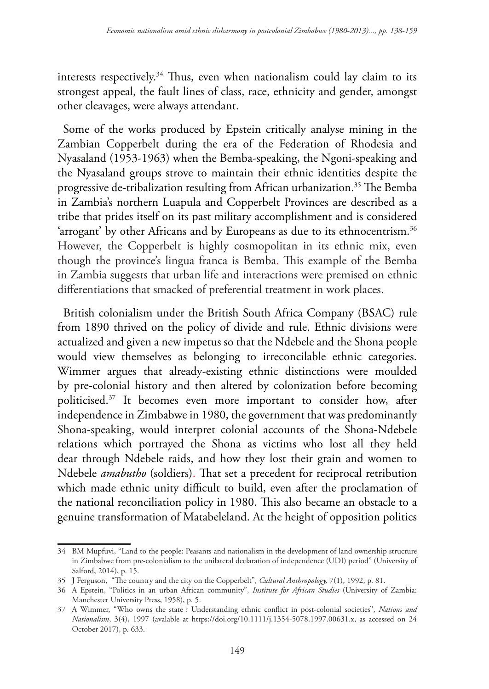interests respectively.34 Thus, even when nationalism could lay claim to its strongest appeal, the fault lines of class, race, ethnicity and gender, amongst other cleavages, were always attendant.

Some of the works produced by Epstein critically analyse mining in the Zambian Copperbelt during the era of the Federation of Rhodesia and Nyasaland (1953-1963) when the Bemba-speaking, the Ngoni-speaking and the Nyasaland groups strove to maintain their ethnic identities despite the progressive de-tribalization resulting from African urbanization.35 The Bemba in Zambia's northern Luapula and Copperbelt Provinces are described as a tribe that prides itself on its past military accomplishment and is considered 'arrogant' by other Africans and by Europeans as due to its ethnocentrism.<sup>36</sup> However, the Copperbelt is highly cosmopolitan in its ethnic mix, even though the province's lingua franca is Bemba. This example of the Bemba in Zambia suggests that urban life and interactions were premised on ethnic differentiations that smacked of preferential treatment in work places.

British colonialism under the British South Africa Company (BSAC) rule from 1890 thrived on the policy of divide and rule. Ethnic divisions were actualized and given a new impetus so that the Ndebele and the Shona people would view themselves as belonging to irreconcilable ethnic categories. Wimmer argues that already-existing ethnic distinctions were moulded by pre-colonial history and then altered by colonization before becoming politicised.37 It becomes even more important to consider how, after independence in Zimbabwe in 1980, the government that was predominantly Shona-speaking, would interpret colonial accounts of the Shona-Ndebele relations which portrayed the Shona as victims who lost all they held dear through Ndebele raids, and how they lost their grain and women to Ndebele *amabutho* (soldiers). That set a precedent for reciprocal retribution which made ethnic unity difficult to build, even after the proclamation of the national reconciliation policy in 1980. This also became an obstacle to a genuine transformation of Matabeleland. At the height of opposition politics

<sup>34</sup> BM Mupfuvi, "Land to the people: Peasants and nationalism in the development of land ownership structure in Zimbabwe from pre-colonialism to the unilateral declaration of independence (UDI) period" (University of Salford, 2014), p. 15.

<sup>35</sup> J Ferguson, "The country and the city on the Copperbelt", *Cultural Anthropology,* 7(1), 1992, p. 81.

<sup>36</sup> A Epstein, "Politics in an urban African community", *Institute for African Studies* (University of Zambia: Manchester University Press, 1958), p. 5.

<sup>37</sup> A Wimmer, "Who owns the state ? Understanding ethnic conflict in post-colonial societies", *Nations and Nationalism*, 3(4), 1997 (avalable at https://doi.org/10.1111/j.1354-5078.1997.00631.x, as accessed on 24 October 2017), p. 633.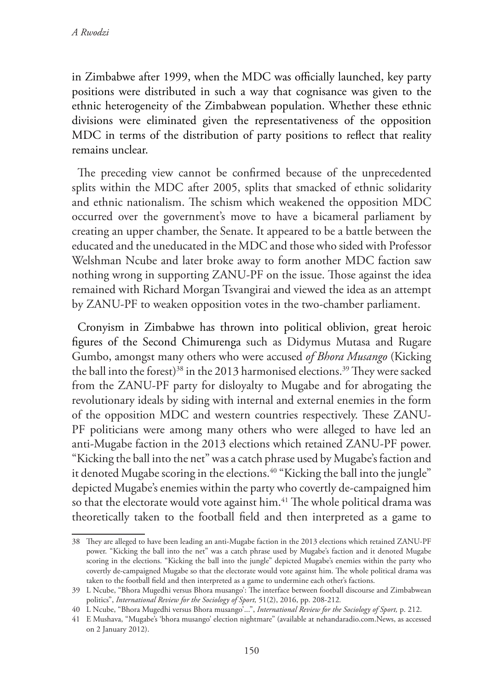in Zimbabwe after 1999, when the MDC was officially launched, key party positions were distributed in such a way that cognisance was given to the ethnic heterogeneity of the Zimbabwean population. Whether these ethnic divisions were eliminated given the representativeness of the opposition MDC in terms of the distribution of party positions to reflect that reality remains unclear.

The preceding view cannot be confirmed because of the unprecedented splits within the MDC after 2005, splits that smacked of ethnic solidarity and ethnic nationalism. The schism which weakened the opposition MDC occurred over the government's move to have a bicameral parliament by creating an upper chamber, the Senate. It appeared to be a battle between the educated and the uneducated in the MDC and those who sided with Professor Welshman Ncube and later broke away to form another MDC faction saw nothing wrong in supporting ZANU-PF on the issue. Those against the idea remained with Richard Morgan Tsvangirai and viewed the idea as an attempt by ZANU-PF to weaken opposition votes in the two-chamber parliament.

Cronyism in Zimbabwe has thrown into political oblivion, great heroic figures of the Second Chimurenga such as Didymus Mutasa and Rugare Gumbo, amongst many others who were accused *of Bhora Musango* (Kicking the ball into the forest)<sup>38</sup> in the 2013 harmonised elections.<sup>39</sup> They were sacked from the ZANU-PF party for disloyalty to Mugabe and for abrogating the revolutionary ideals by siding with internal and external enemies in the form of the opposition MDC and western countries respectively. These ZANU-PF politicians were among many others who were alleged to have led an anti-Mugabe faction in the 2013 elections which retained ZANU-PF power. "Kicking the ball into the net" was a catch phrase used by Mugabe's faction and it denoted Mugabe scoring in the elections.<sup>40</sup> "Kicking the ball into the jungle" depicted Mugabe's enemies within the party who covertly de-campaigned him so that the electorate would vote against him.<sup>41</sup> The whole political drama was theoretically taken to the football field and then interpreted as a game to

<sup>38</sup> They are alleged to have been leading an anti-Mugabe faction in the 2013 elections which retained ZANU-PF power. "Kicking the ball into the net" was a catch phrase used by Mugabe's faction and it denoted Mugabe scoring in the elections. "Kicking the ball into the jungle" depicted Mugabe's enemies within the party who covertly de-campaigned Mugabe so that the electorate would vote against him. The whole political drama was taken to the football field and then interpreted as a game to undermine each other's factions.

<sup>39</sup> L Ncube, "Bhora Mugedhi versus Bhora musango': The interface between football discourse and Zimbabwean politics", *International Review for the Sociology of Sport,* 51(2), 2016, pp. 208-212*.*

<sup>40</sup> L Ncube, "Bhora Mugedhi versus Bhora musango'...", *International Review for the Sociology of Sport,* p. 212.

<sup>41</sup> E Mushava, "Mugabe's 'bhora musango' election nightmare" (available at nehandaradio.com.News, as accessed on 2 January 2012).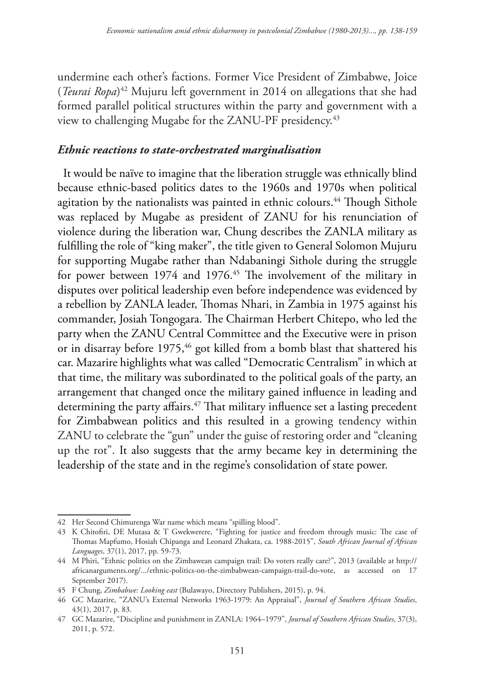undermine each other's factions. Former Vice President of Zimbabwe, Joice (*Teurai Ropa*) 42 Mujuru left government in 2014 on allegations that she had formed parallel political structures within the party and government with a view to challenging Mugabe for the ZANU-PF presidency.<sup>43</sup>

#### *Ethnic reactions to state-orchestrated marginalisation*

It would be naïve to imagine that the liberation struggle was ethnically blind because ethnic-based politics dates to the 1960s and 1970s when political agitation by the nationalists was painted in ethnic colours.<sup>44</sup> Though Sithole was replaced by Mugabe as president of ZANU for his renunciation of violence during the liberation war, Chung describes the ZANLA military as fulfilling the role of "king maker", the title given to General Solomon Mujuru for supporting Mugabe rather than Ndabaningi Sithole during the struggle for power between 1974 and 1976.<sup>45</sup> The involvement of the military in disputes over political leadership even before independence was evidenced by a rebellion by ZANLA leader, Thomas Nhari, in Zambia in 1975 against his commander, Josiah Tongogara. The Chairman Herbert Chitepo, who led the party when the ZANU Central Committee and the Executive were in prison or in disarray before 1975,<sup>46</sup> got killed from a bomb blast that shattered his car. Mazarire highlights what was called "Democratic Centralism" in which at that time, the military was subordinated to the political goals of the party, an arrangement that changed once the military gained influence in leading and determining the party affairs.<sup>47</sup> That military influence set a lasting precedent for Zimbabwean politics and this resulted in a growing tendency within ZANU to celebrate the "gun" under the guise of restoring order and "cleaning up the rot". It also suggests that the army became key in determining the leadership of the state and in the regime's consolidation of state power.

<sup>42</sup> Her Second Chimurenga War name which means "spilling blood".

<sup>43</sup> K Chitofiri, DE Mutasa & T Gwekwerere, "Fighting for justice and freedom through music: The case of Thomas Mapfumo, Hosiah Chipanga and Leonard Zhakata, ca. 1988-2015", *South African Journal of African Languages*, 37(1), 2017, pp. 59-73.

<sup>44</sup> M Phiri, "Ethnic politics on the Zimbawean campaign trail: Do voters really care?", 2013 (available at http:// africanarguments.org/.../ethnic-politics-on-the-zimbabwean-campaign-trail-do-vote, as accessed on 17 September 2017).

<sup>45</sup> F Chung, *Zimbabwe: Looking east* (Bulawayo, Directory Publishers, 2015), p. 94.

<sup>46</sup> GC Mazarire, "ZANU's External Networks 1963-1979: An Appraisal", *Journal of Southern African Studies*, 43(1), 2017, p. 83.

<sup>47</sup> GC Mazarire, "Discipline and punishment in ZANLA: 1964–1979", *Journal of Southern African Studies*, 37(3), 2011, p. 572.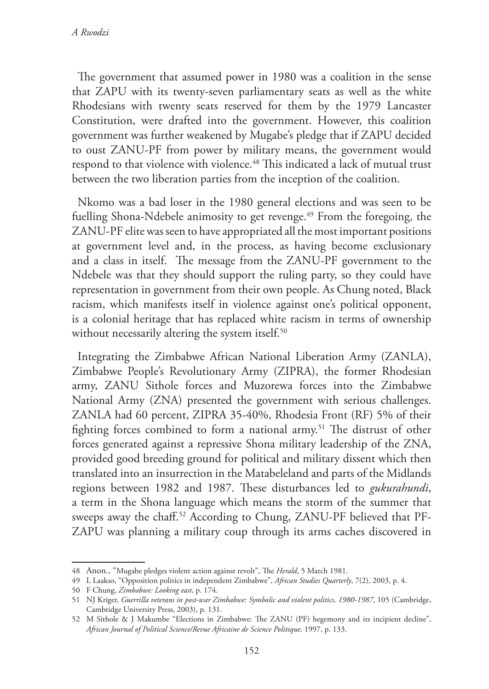The government that assumed power in 1980 was a coalition in the sense that ZAPU with its twenty-seven parliamentary seats as well as the white Rhodesians with twenty seats reserved for them by the 1979 Lancaster Constitution, were drafted into the government. However, this coalition government was further weakened by Mugabe's pledge that if ZAPU decided to oust ZANU-PF from power by military means, the government would respond to that violence with violence.<sup>48</sup> This indicated a lack of mutual trust between the two liberation parties from the inception of the coalition.

Nkomo was a bad loser in the 1980 general elections and was seen to be fuelling Shona-Ndebele animosity to get revenge.<sup>49</sup> From the foregoing, the ZANU-PF elite was seen to have appropriated all the most important positions at government level and, in the process, as having become exclusionary and a class in itself. The message from the ZANU-PF government to the Ndebele was that they should support the ruling party, so they could have representation in government from their own people. As Chung noted, Black racism, which manifests itself in violence against one's political opponent, is a colonial heritage that has replaced white racism in terms of ownership without necessarily altering the system itself.<sup>50</sup>

Integrating the Zimbabwe African National Liberation Army (ZANLA), Zimbabwe People's Revolutionary Army (ZIPRA), the former Rhodesian army, ZANU Sithole forces and Muzorewa forces into the Zimbabwe National Army (ZNA) presented the government with serious challenges. ZANLA had 60 percent, ZIPRA 35-40%, Rhodesia Front (RF) 5% of their fighting forces combined to form a national army.<sup>51</sup> The distrust of other forces generated against a repressive Shona military leadership of the ZNA, provided good breeding ground for political and military dissent which then translated into an insurrection in the Matabeleland and parts of the Midlands regions between 1982 and 1987. These disturbances led to *gukurahundi*, a term in the Shona language which means the storm of the summer that sweeps away the chaff.52 According to Chung, ZANU-PF believed that PF-ZAPU was planning a military coup through its arms caches discovered in

<sup>48</sup> Anon., "Mugabe pledges violent action against revolt", The *Herald*, 5 March 1981.

<sup>49</sup> L Laakso, "Opposition politics in independent Zimbabwe", *African Studies Quarterly*, 7(2), 2003, p. 4.

<sup>50</sup> F Chung, *Zimbabwe: Looking east*, p. 174.

<sup>51</sup> NJ Kriger, *Guerrilla veterans in post-war Zimbabwe: Symbolic and violent politics, 1980-1987*, 105 (Cambridge, Cambridge University Press, 2003), p. 131.

<sup>52</sup> M Sithole & J Makumbe "Elections in Zimbabwe: The ZANU (PF) hegemony and its incipient decline", *African Journal of Political Science/Revue Africaine de Science Politique,* 1997, p. 133.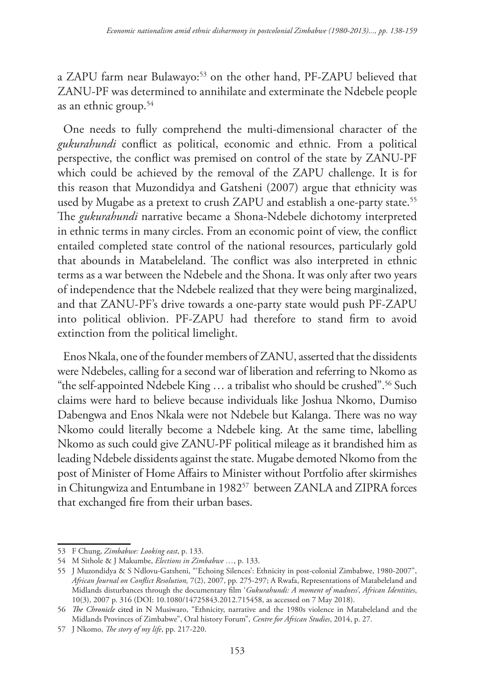a ZAPU farm near Bulawayo:53 on the other hand, PF-ZAPU believed that ZANU-PF was determined to annihilate and exterminate the Ndebele people as an ethnic group.54

One needs to fully comprehend the multi-dimensional character of the *gukurahundi* conflict as political, economic and ethnic. From a political perspective, the conflict was premised on control of the state by ZANU-PF which could be achieved by the removal of the ZAPU challenge. It is for this reason that Muzondidya and Gatsheni (2007) argue that ethnicity was used by Mugabe as a pretext to crush ZAPU and establish a one-party state.<sup>55</sup> The *gukurahundi* narrative became a Shona-Ndebele dichotomy interpreted in ethnic terms in many circles. From an economic point of view, the conflict entailed completed state control of the national resources, particularly gold that abounds in Matabeleland. The conflict was also interpreted in ethnic terms as a war between the Ndebele and the Shona. It was only after two years of independence that the Ndebele realized that they were being marginalized, and that ZANU-PF's drive towards a one-party state would push PF-ZAPU into political oblivion. PF-ZAPU had therefore to stand firm to avoid extinction from the political limelight.

Enos Nkala, one of the founder members of ZANU, asserted that the dissidents were Ndebeles, calling for a second war of liberation and referring to Nkomo as "the self-appointed Ndebele King … a tribalist who should be crushed".56 Such claims were hard to believe because individuals like Joshua Nkomo, Dumiso Dabengwa and Enos Nkala were not Ndebele but Kalanga. There was no way Nkomo could literally become a Ndebele king. At the same time, labelling Nkomo as such could give ZANU-PF political mileage as it brandished him as leading Ndebele dissidents against the state. Mugabe demoted Nkomo from the post of Minister of Home Affairs to Minister without Portfolio after skirmishes in Chitungwiza and Entumbane in 1982<sup>57</sup> between ZANLA and ZIPRA forces that exchanged fire from their urban bases.

<sup>53</sup> F Chung, *Zimbabwe: Looking east*, p. 133.

<sup>54</sup> M Sithole & J Makumbe, *Elections in Zimbabwe …*, p. 133.

<sup>55</sup> J Muzondidya & S Ndlovu-Gatsheni, "'Echoing Silences': Ethnicity in post-colonial Zimbabwe, 1980-2007", *African Journal on Conflict Resolution,* 7(2), 2007, pp. 275-297; A Rwafa, Representations of Matabeleland and Midlands disturbances through the documentary film '*Gukurahundi: A moment of madness'*, *African Identities*, 10(3), 2007 p. 316 (DOI: 10.1080/14725843.2012.715458, as accessed on 7 May 2018).

<sup>56</sup> *The Chronicle* cited in N Musiwaro, "Ethnicity, narrative and the 1980s violence in Matabeleland and the Midlands Provinces of Zimbabwe", Oral history Forum", *Centre for African Studies*, 2014, p. 27.

<sup>57</sup> J Nkomo, *The story of my life*, pp. 217-220.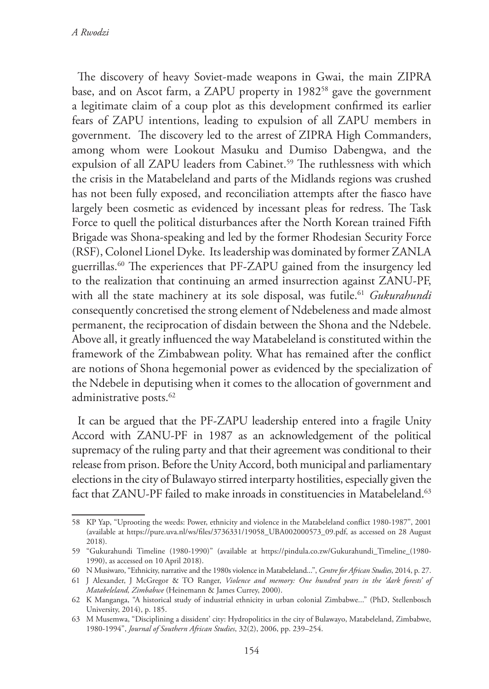*A Rwodzi*

The discovery of heavy Soviet-made weapons in Gwai, the main ZIPRA base, and on Ascot farm, a ZAPU property in 1982<sup>58</sup> gave the government a legitimate claim of a coup plot as this development confirmed its earlier fears of ZAPU intentions, leading to expulsion of all ZAPU members in government. The discovery led to the arrest of ZIPRA High Commanders, among whom were Lookout Masuku and Dumiso Dabengwa, and the expulsion of all ZAPU leaders from Cabinet.<sup>59</sup> The ruthlessness with which the crisis in the Matabeleland and parts of the Midlands regions was crushed has not been fully exposed, and reconciliation attempts after the fiasco have largely been cosmetic as evidenced by incessant pleas for redress. The Task Force to quell the political disturbances after the North Korean trained Fifth Brigade was Shona-speaking and led by the former Rhodesian Security Force (RSF), Colonel Lionel Dyke. Its leadership was dominated by former ZANLA guerrillas.60 The experiences that PF-ZAPU gained from the insurgency led to the realization that continuing an armed insurrection against ZANU-PF, with all the state machinery at its sole disposal, was futile.<sup>61</sup> *Gukurahundi* consequently concretised the strong element of Ndebeleness and made almost permanent, the reciprocation of disdain between the Shona and the Ndebele. Above all, it greatly influenced the way Matabeleland is constituted within the framework of the Zimbabwean polity. What has remained after the conflict are notions of Shona hegemonial power as evidenced by the specialization of the Ndebele in deputising when it comes to the allocation of government and administrative posts.<sup>62</sup>

It can be argued that the PF-ZAPU leadership entered into a fragile Unity Accord with ZANU-PF in 1987 as an acknowledgement of the political supremacy of the ruling party and that their agreement was conditional to their release from prison. Before the Unity Accord, both municipal and parliamentary elections in the city of Bulawayo stirred interparty hostilities, especially given the fact that ZANU-PF failed to make inroads in constituencies in Matabeleland.<sup>63</sup>

<sup>58</sup> KP Yap, "Uprooting the weeds: Power, ethnicity and violence in the Matabeleland conflict 1980-1987", 2001 (available at https://pure.uva.nl/ws/files/3736331/19058\_UBA002000573\_09.pdf, as accessed on 28 August 2018).

<sup>59</sup> "Gukurahundi Timeline (1980-1990)" (available at https://pindula.co.zw/Gukurahundi\_Timeline\_(1980- 1990), as accessed on 10 April 2018).

<sup>60</sup> N Musiwaro, "Ethnicity, narrative and the 1980s violence in Matabeleland...", *Centre for African Studies*, 2014, p. 27.

<sup>61</sup> J Alexander, J McGregor & TO Ranger, *Violence and memory: One hundred years in the 'dark forests' of Matabeleland, Zimbabwe* (Heinemann & James Currey, 2000).

<sup>62</sup> K Manganga, "A historical study of industrial ethnicity in urban colonial Zimbabwe..." (PhD, Stellenbosch University, 2014), p. 185.

<sup>63</sup> M Musemwa, "Disciplining a dissident' city: Hydropolitics in the city of Bulawayo, Matabeleland, Zimbabwe, 1980-1994", *Journal of Southern African Studies*, 32(2), 2006, pp. 239–254.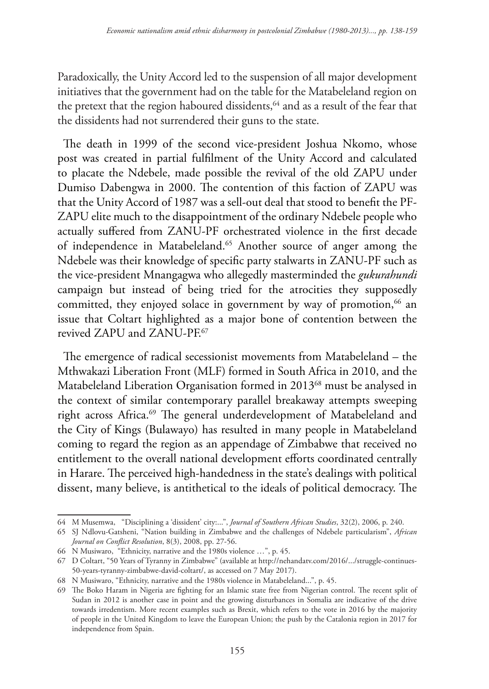Paradoxically, the Unity Accord led to the suspension of all major development initiatives that the government had on the table for the Matabeleland region on the pretext that the region haboured dissidents,<sup>64</sup> and as a result of the fear that the dissidents had not surrendered their guns to the state.

The death in 1999 of the second vice-president Joshua Nkomo, whose post was created in partial fulfilment of the Unity Accord and calculated to placate the Ndebele, made possible the revival of the old ZAPU under Dumiso Dabengwa in 2000. The contention of this faction of ZAPU was that the Unity Accord of 1987 was a sell-out deal that stood to benefit the PF-ZAPU elite much to the disappointment of the ordinary Ndebele people who actually suffered from ZANU-PF orchestrated violence in the first decade of independence in Matabeleland.<sup>65</sup> Another source of anger among the Ndebele was their knowledge of specific party stalwarts in ZANU-PF such as the vice-president Mnangagwa who allegedly masterminded the *gukurahundi* campaign but instead of being tried for the atrocities they supposedly committed, they enjoyed solace in government by way of promotion, $66$  an issue that Coltart highlighted as a major bone of contention between the revived ZAPU and ZANU-PE<sup>67</sup>

The emergence of radical secessionist movements from Matabeleland – the Mthwakazi Liberation Front (MLF) formed in South Africa in 2010, and the Matabeleland Liberation Organisation formed in 2013<sup>68</sup> must be analysed in the context of similar contemporary parallel breakaway attempts sweeping right across Africa.<sup>69</sup> The general underdevelopment of Matabeleland and the City of Kings (Bulawayo) has resulted in many people in Matabeleland coming to regard the region as an appendage of Zimbabwe that received no entitlement to the overall national development efforts coordinated centrally in Harare. The perceived high-handedness in the state's dealings with political dissent, many believe, is antithetical to the ideals of political democracy. The

<sup>64</sup> M Musemwa, "Disciplining a 'dissident' city:...", *Journal of Southern African Studies*, 32(2), 2006, p. 240.

<sup>65</sup> SJ Ndlovu-Gatsheni, "Nation building in Zimbabwe and the challenges of Ndebele particularism", *African Journal on Conflict Resolution*, 8(3), 2008, pp. 27-56.

<sup>66</sup> N Musiwaro, "Ethnicity, narrative and the 1980s violence …", p. 45.

<sup>67</sup> D Coltart, "50 Years of Tyranny in Zimbabwe" (available at http://nehandatv.com/2016/.../struggle-continues-50-years-tyranny-zimbabwe-david-coltart/, as accessed on 7 May 2017).

<sup>68</sup> N Musiwaro, "Ethnicity, narrative and the 1980s violence in Matabeleland...", p. 45.

<sup>69</sup> The Boko Haram in Nigeria are fighting for an Islamic state free from Nigerian control. The recent split of Sudan in 2012 is another case in point and the growing disturbances in Somalia are indicative of the drive towards irredentism. More recent examples such as Brexit, which refers to the vote in 2016 by the majority of people in the United Kingdom to leave the European Union; the push by the Catalonia region in 2017 for independence from Spain.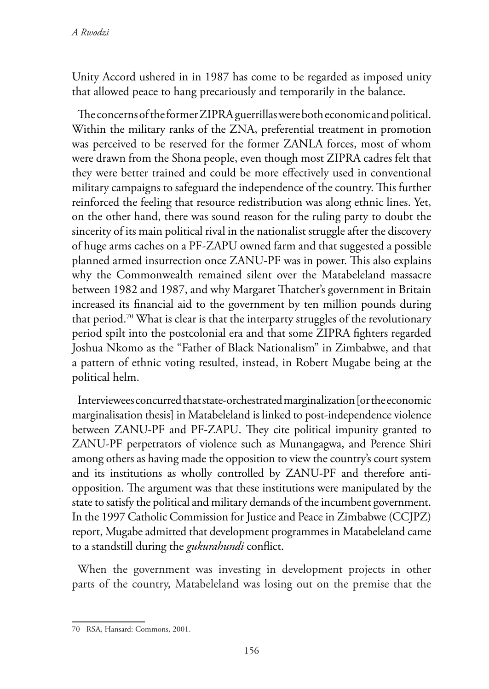Unity Accord ushered in in 1987 has come to be regarded as imposed unity that allowed peace to hang precariously and temporarily in the balance.

The concerns of the former ZIPRA guerrillas were both economic and political. Within the military ranks of the ZNA, preferential treatment in promotion was perceived to be reserved for the former ZANLA forces, most of whom were drawn from the Shona people, even though most ZIPRA cadres felt that they were better trained and could be more effectively used in conventional military campaigns to safeguard the independence of the country. This further reinforced the feeling that resource redistribution was along ethnic lines. Yet, on the other hand, there was sound reason for the ruling party to doubt the sincerity of its main political rival in the nationalist struggle after the discovery of huge arms caches on a PF-ZAPU owned farm and that suggested a possible planned armed insurrection once ZANU-PF was in power. This also explains why the Commonwealth remained silent over the Matabeleland massacre between 1982 and 1987, and why Margaret Thatcher's government in Britain increased its financial aid to the government by ten million pounds during that period.<sup>70</sup> What is clear is that the interparty struggles of the revolutionary period spilt into the postcolonial era and that some ZIPRA fighters regarded Joshua Nkomo as the "Father of Black Nationalism" in Zimbabwe, and that a pattern of ethnic voting resulted, instead, in Robert Mugabe being at the political helm.

Interviewees concurred that state-orchestrated marginalization [or the economic marginalisation thesis] in Matabeleland is linked to post-independence violence between ZANU-PF and PF-ZAPU. They cite political impunity granted to ZANU-PF perpetrators of violence such as Munangagwa, and Perence Shiri among others as having made the opposition to view the country's court system and its institutions as wholly controlled by ZANU-PF and therefore antiopposition. The argument was that these institutions were manipulated by the state to satisfy the political and military demands of the incumbent government. In the 1997 Catholic Commission for Justice and Peace in Zimbabwe (CCJPZ) report, Mugabe admitted that development programmes in Matabeleland came to a standstill during the *gukurahundi* conflict.

When the government was investing in development projects in other parts of the country, Matabeleland was losing out on the premise that the

<sup>70</sup> RSA, Hansard: Commons, 2001.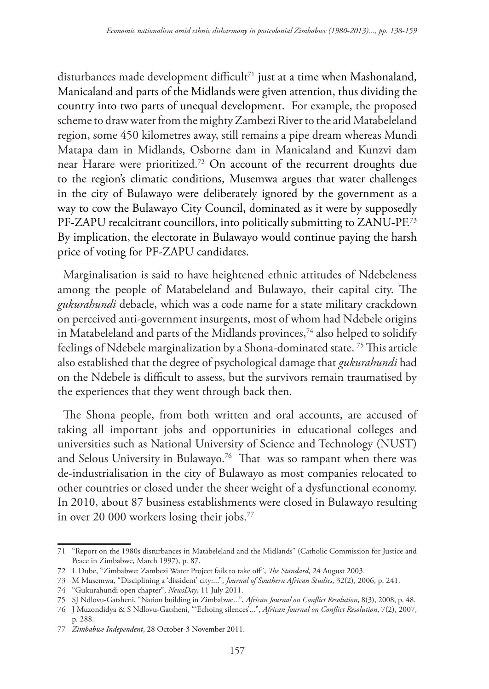disturbances made development difficult<sup>71</sup> just at a time when Mashonaland, Manicaland and parts of the Midlands were given attention, thus dividing the country into two parts of unequal development. For example, the proposed scheme to draw water from the mighty Zambezi River to the arid Matabeleland region, some 450 kilometres away, still remains a pipe dream whereas Mundi Matapa dam in Midlands, Osborne dam in Manicaland and Kunzvi dam near Harare were prioritized.72 On account of the recurrent droughts due to the region's climatic conditions, Musemwa argues that water challenges in the city of Bulawayo were deliberately ignored by the government as a way to cow the Bulawayo City Council, dominated as it were by supposedly PF-ZAPU recalcitrant councillors, into politically submitting to ZANU-PF.<sup>73</sup> By implication, the electorate in Bulawayo would continue paying the harsh price of voting for PF-ZAPU candidates.

Marginalisation is said to have heightened ethnic attitudes of Ndebeleness among the people of Matabeleland and Bulawayo, their capital city. The *gukurahundi* debacle, which was a code name for a state military crackdown on perceived anti-government insurgents, most of whom had Ndebele origins in Matabeleland and parts of the Midlands provinces,<sup>74</sup> also helped to solidify feelings of Ndebele marginalization by a Shona-dominated state. 75 This article also established that the degree of psychological damage that *gukurahundi* had on the Ndebele is difficult to assess, but the survivors remain traumatised by the experiences that they went through back then.

The Shona people, from both written and oral accounts, are accused of taking all important jobs and opportunities in educational colleges and universities such as National University of Science and Technology (NUST) and Selous University in Bulawayo.<sup>76</sup> That was so rampant when there was de-industrialisation in the city of Bulawayo as most companies relocated to other countries or closed under the sheer weight of a dysfunctional economy. In 2010, about 87 business establishments were closed in Bulawayo resulting in over 20 000 workers losing their jobs.77

<sup>71</sup> "Report on the 1980s disturbances in Matabeleland and the Midlands" (Catholic Commission for Justice and Peace in Zimbabwe, March 1997), p. 87.

<sup>72</sup> L Dube, "Zimbabwe: Zambezi Water Project fails to take off", *The Standard,* 24 August 2003.

<sup>73</sup> M Musemwa, "Disciplining a 'dissident' city:...", *Journal of Southern African Studies*, 32(2), 2006, p. 241.

<sup>74</sup> "Gukurahundi open chapter", *NewsDay*, 11 July 2011.

<sup>75</sup> SJ Ndlovu-Gatsheni, "Nation building in Zimbabwe...", *African Journal on Conflict Resolution*, 8(3), 2008, p. 48.

<sup>76</sup> J Muzondidya & S Ndlovu-Gatsheni, "'Echoing silences'...", *African Journal on Conflict Resolution*, 7(2), 2007, p. 288.

<sup>77</sup> *Zimbabwe Independent*, 28 October-3 November 2011.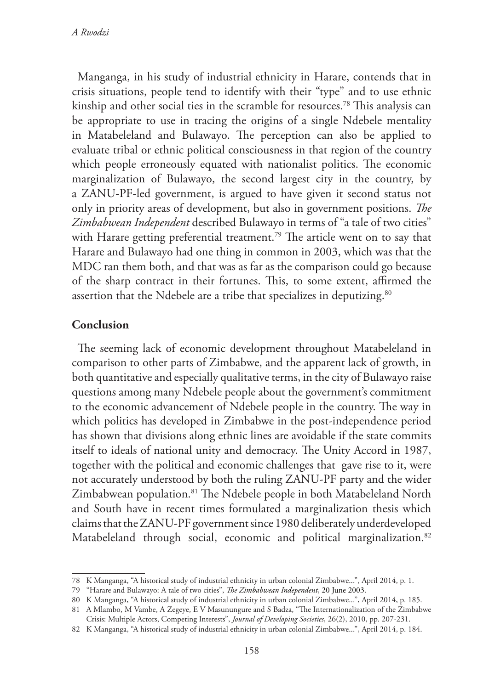Manganga, in his study of industrial ethnicity in Harare, contends that in crisis situations, people tend to identify with their "type" and to use ethnic kinship and other social ties in the scramble for resources.<sup>78</sup> This analysis can be appropriate to use in tracing the origins of a single Ndebele mentality in Matabeleland and Bulawayo. The perception can also be applied to evaluate tribal or ethnic political consciousness in that region of the country which people erroneously equated with nationalist politics. The economic marginalization of Bulawayo, the second largest city in the country, by a ZANU-PF-led government, is argued to have given it second status not only in priority areas of development, but also in government positions. *The Zimbabwean Independent* described Bulawayo in terms of "a tale of two cities" with Harare getting preferential treatment.<sup>79</sup> The article went on to say that Harare and Bulawayo had one thing in common in 2003, which was that the MDC ran them both, and that was as far as the comparison could go because of the sharp contract in their fortunes. This, to some extent, affirmed the assertion that the Ndebele are a tribe that specializes in deputizing.<sup>80</sup>

#### **Conclusion**

The seeming lack of economic development throughout Matabeleland in comparison to other parts of Zimbabwe, and the apparent lack of growth, in both quantitative and especially qualitative terms, in the city of Bulawayo raise questions among many Ndebele people about the government's commitment to the economic advancement of Ndebele people in the country. The way in which politics has developed in Zimbabwe in the post-independence period has shown that divisions along ethnic lines are avoidable if the state commits itself to ideals of national unity and democracy. The Unity Accord in 1987, together with the political and economic challenges that gave rise to it, were not accurately understood by both the ruling ZANU-PF party and the wider Zimbabwean population.<sup>81</sup> The Ndebele people in both Matabeleland North and South have in recent times formulated a marginalization thesis which claims that the ZANU-PF government since 1980 deliberately underdeveloped Matabeleland through social, economic and political marginalization.<sup>82</sup>

<sup>78</sup> K Manganga, "A historical study of industrial ethnicity in urban colonial Zimbabwe...", April 2014, p. 1.

<sup>79</sup> "Harare and Bulawayo: A tale of two cities", *The Zimbabwean Independent*, 20 June 2003.

<sup>80</sup> K Manganga, "A historical study of industrial ethnicity in urban colonial Zimbabwe...", April 2014, p. 185.

<sup>81</sup> A Mlambo, M Vambe, A Zegeye, E V Masunungure and S Badza, "The Internationalization of the Zimbabwe Crisis: Multiple Actors, Competing Interests", *Journal of Developing Societies*, 26(2), 2010, pp. 207-231.

<sup>82</sup> K Manganga, "A historical study of industrial ethnicity in urban colonial Zimbabwe...", April 2014, p. 184.